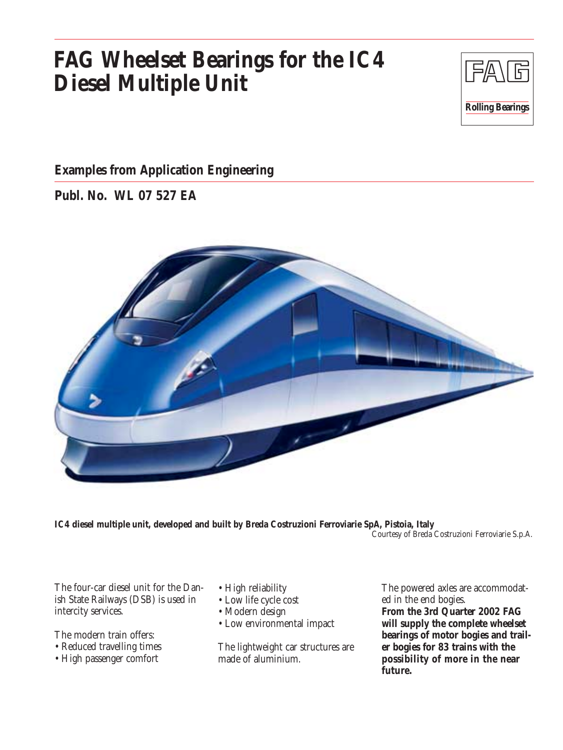# **FAG Wheelset Bearings for the IC4 Diesel Multiple Unit**



#### **Examples from Application Engineering**

**Publ. No. WL 07 527 EA**



**IC4 diesel multiple unit, developed and built by Breda Costruzioni Ferroviarie SpA, Pistoia, Italy** Courtesy of Breda Costruzioni Ferroviarie S.p.A.

The four-car diesel unit for the Danish State Railways (DSB) is used in intercity services.

The modern train offers:

- Reduced travelling times
- High passenger comfort
- High reliability
- Low life cycle cost
- Modern design
- Low environmental impact

The lightweight car structures are made of aluminium.

The powered axles are accommodated in the end bogies.

**From the 3rd Quarter 2002 FAG will supply the complete wheelset bearings of motor bogies and trailer bogies for 83 trains with the possibility of more in the near future.**